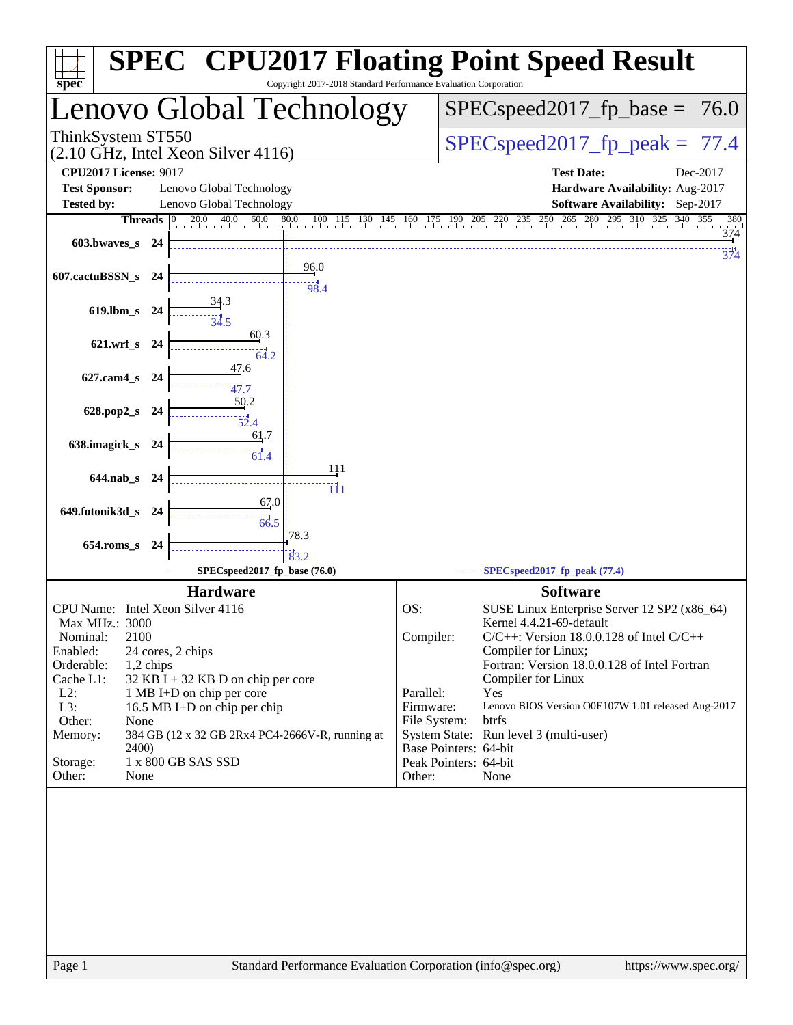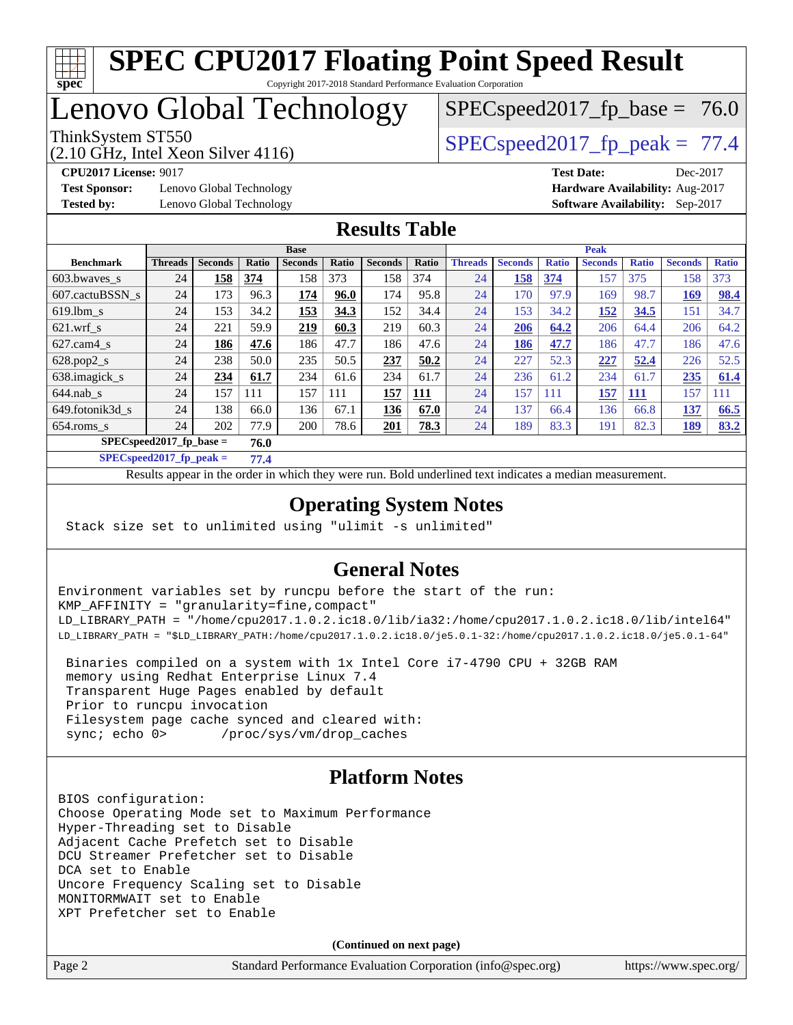

# Lenovo Global Technology

(2.10 GHz, Intel Xeon Silver 4116)

ThinkSystem ST550  $SPEC speed2017$  fp\_peak = 77.4

 $SPECspeed2017_fp\_base = 76.0$ 

**[Test Sponsor:](http://www.spec.org/auto/cpu2017/Docs/result-fields.html#TestSponsor)** Lenovo Global Technology **[Hardware Availability:](http://www.spec.org/auto/cpu2017/Docs/result-fields.html#HardwareAvailability)** Aug-2017 **[Tested by:](http://www.spec.org/auto/cpu2017/Docs/result-fields.html#Testedby)** Lenovo Global Technology **[Software Availability:](http://www.spec.org/auto/cpu2017/Docs/result-fields.html#SoftwareAvailability)** Sep-2017

**[CPU2017 License:](http://www.spec.org/auto/cpu2017/Docs/result-fields.html#CPU2017License)** 9017 **[Test Date:](http://www.spec.org/auto/cpu2017/Docs/result-fields.html#TestDate)** Dec-2017

## **[Results Table](http://www.spec.org/auto/cpu2017/Docs/result-fields.html#ResultsTable)**

|                                    | <b>Base</b>    |                |       |                |       | <b>Peak</b>    |       |                |                |              |                |              |                |              |
|------------------------------------|----------------|----------------|-------|----------------|-------|----------------|-------|----------------|----------------|--------------|----------------|--------------|----------------|--------------|
| <b>Benchmark</b>                   | <b>Threads</b> | <b>Seconds</b> | Ratio | <b>Seconds</b> | Ratio | <b>Seconds</b> | Ratio | <b>Threads</b> | <b>Seconds</b> | <b>Ratio</b> | <b>Seconds</b> | <b>Ratio</b> | <b>Seconds</b> | <b>Ratio</b> |
| 603.bwayes s                       | 24             | 158            | 374   | 158            | 373   | 158            | 374   | 24             | 158            | 374          | 157            | 375          | 158            | 373          |
| 607.cactuBSSN s                    | 24             | 173            | 96.3  | 174            | 96.0  | 174            | 95.8  | 24             | 170            | 97.9         | 169            | 98.7         | 169            | 98.4         |
| $619.1$ bm s                       | 24             | 153            | 34.2  | 153            | 34.3  | 152            | 34.4  | 24             | 153            | 34.2         | 152            | 34.5         | 151            | 34.7         |
| $621.wrf$ s                        | 24             | 221            | 59.9  | 219            | 60.3  | 219            | 60.3  | 24             | 206            | 64.2         | 206            | 64.4         | 206            | 64.2         |
| $627$ .cam $4$ s                   | 24             | 186            | 47.6  | 186            | 47.7  | 186            | 47.6  | 24             | 186            | 47.7         | 186            | 47.7         | 186            | 47.6         |
| $628.pop2_s$                       | 24             | 238            | 50.0  | 235            | 50.5  | 237            | 50.2  | 24             | 227            | 52.3         | 227            | 52.4         | 226            | 52.5         |
| 638.imagick_s                      | 24             | 234            | 61.7  | 234            | 61.6  | 234            | 61.7  | 24             | 236            | 61.2         | 234            | 61.7         | 235            | 61.4         |
| $644$ .nab s                       | 24             | 157            | 111   | 157            | 111   | 157            | 111   | 24             | 157            | 111          | 157            | <u> 111</u>  | 157            | 111          |
| 649.fotonik3d s                    | 24             | 138            | 66.0  | 136            | 67.1  | 136            | 67.0  | 24             | 137            | 66.4         | 136            | 66.8         | 137            | 66.5         |
| $654$ .roms s                      | 24             | 202            | 77.9  | 200            | 78.6  | 201            | 78.3  | 24             | 189            | 83.3         | 191            | 82.3         | 189            | 83.2         |
| $SPECspeed2017_fp\_base =$<br>76.0 |                |                |       |                |       |                |       |                |                |              |                |              |                |              |

**[SPECspeed2017\\_fp\\_peak =](http://www.spec.org/auto/cpu2017/Docs/result-fields.html#SPECspeed2017fppeak) 77.4**

Results appear in the [order in which they were run.](http://www.spec.org/auto/cpu2017/Docs/result-fields.html#RunOrder) Bold underlined text [indicates a median measurement](http://www.spec.org/auto/cpu2017/Docs/result-fields.html#Median).

## **[Operating System Notes](http://www.spec.org/auto/cpu2017/Docs/result-fields.html#OperatingSystemNotes)**

Stack size set to unlimited using "ulimit -s unlimited"

## **[General Notes](http://www.spec.org/auto/cpu2017/Docs/result-fields.html#GeneralNotes)**

Environment variables set by runcpu before the start of the run: KMP\_AFFINITY = "granularity=fine,compact" LD\_LIBRARY\_PATH = "/home/cpu2017.1.0.2.ic18.0/lib/ia32:/home/cpu2017.1.0.2.ic18.0/lib/intel64" LD\_LIBRARY\_PATH = "\$LD\_LIBRARY\_PATH:/home/cpu2017.1.0.2.ic18.0/je5.0.1-32:/home/cpu2017.1.0.2.ic18.0/je5.0.1-64"

 Binaries compiled on a system with 1x Intel Core i7-4790 CPU + 32GB RAM memory using Redhat Enterprise Linux 7.4 Transparent Huge Pages enabled by default Prior to runcpu invocation Filesystem page cache synced and cleared with: sync; echo 0> /proc/sys/vm/drop\_caches

## **[Platform Notes](http://www.spec.org/auto/cpu2017/Docs/result-fields.html#PlatformNotes)**

BIOS configuration: Choose Operating Mode set to Maximum Performance Hyper-Threading set to Disable Adjacent Cache Prefetch set to Disable DCU Streamer Prefetcher set to Disable DCA set to Enable Uncore Frequency Scaling set to Disable MONITORMWAIT set to Enable XPT Prefetcher set to Enable

**(Continued on next page)**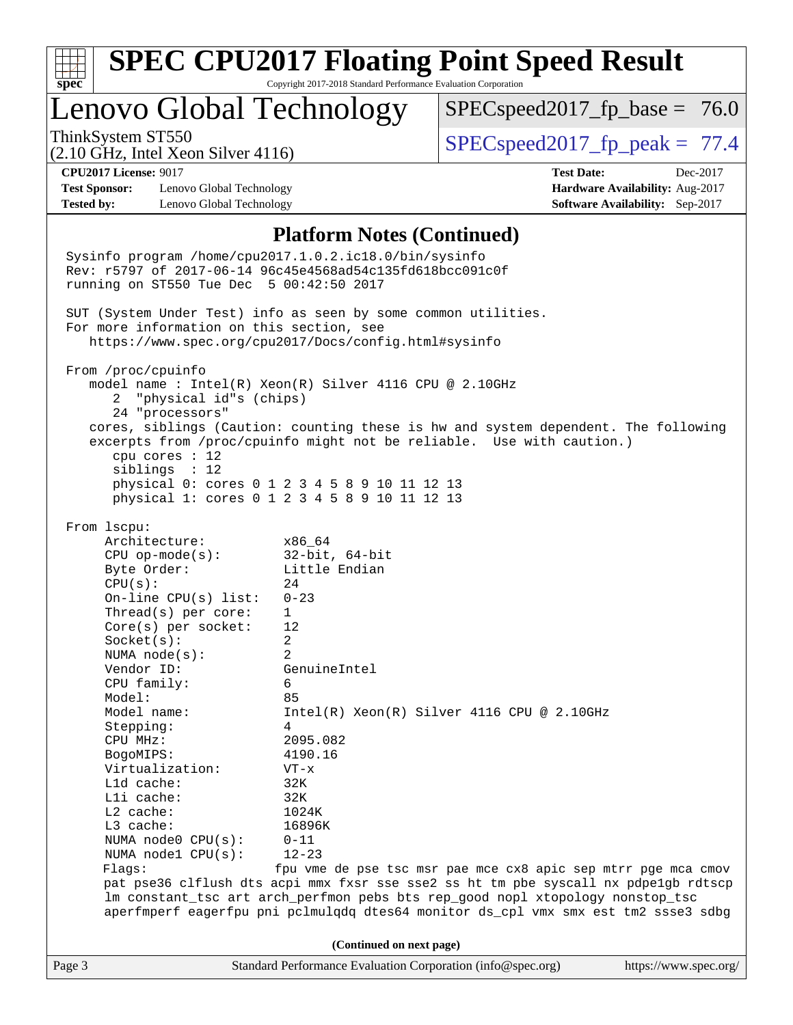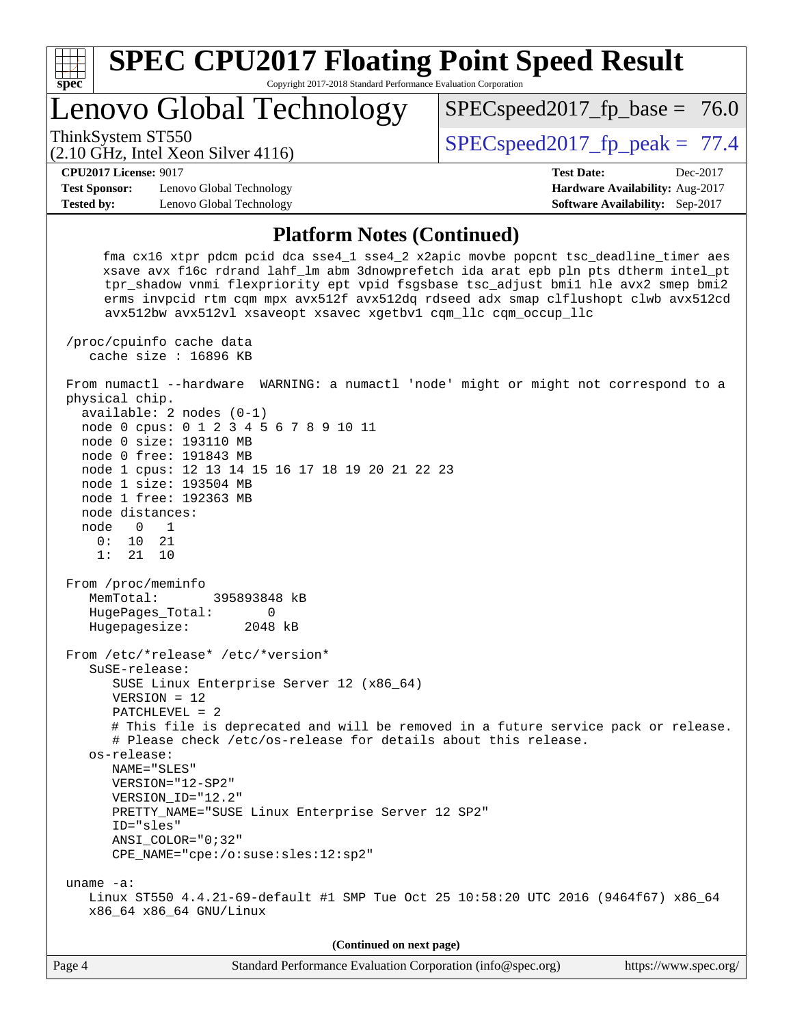| <b>SPEC CPU2017 Floating Point Speed Result</b>                                                                                                                                                                                                                                                                                                                                                                                                                                                                                                                                                              |                                   |
|--------------------------------------------------------------------------------------------------------------------------------------------------------------------------------------------------------------------------------------------------------------------------------------------------------------------------------------------------------------------------------------------------------------------------------------------------------------------------------------------------------------------------------------------------------------------------------------------------------------|-----------------------------------|
| Copyright 2017-2018 Standard Performance Evaluation Corporation<br>spec <sup>®</sup><br>Lenovo Global Technology                                                                                                                                                                                                                                                                                                                                                                                                                                                                                             | $SPEC speed2017_f p\_base = 76.0$ |
| ThinkSystem ST550<br>$(2.10 \text{ GHz}, \text{Intel Xeon Silver } 4116)$                                                                                                                                                                                                                                                                                                                                                                                                                                                                                                                                    | $SPEC speed2017_fp\_peak = 77.4$  |
| <b>CPU2017 License: 9017</b>                                                                                                                                                                                                                                                                                                                                                                                                                                                                                                                                                                                 | <b>Test Date:</b><br>Dec-2017     |
| <b>Test Sponsor:</b><br>Lenovo Global Technology                                                                                                                                                                                                                                                                                                                                                                                                                                                                                                                                                             | Hardware Availability: Aug-2017   |
| <b>Tested by:</b><br>Lenovo Global Technology                                                                                                                                                                                                                                                                                                                                                                                                                                                                                                                                                                | Software Availability: Sep-2017   |
| <b>Platform Notes (Continued)</b>                                                                                                                                                                                                                                                                                                                                                                                                                                                                                                                                                                            |                                   |
| fma cx16 xtpr pdcm pcid dca sse4_1 sse4_2 x2apic movbe popcnt tsc_deadline_timer aes<br>xsave avx f16c rdrand lahf_lm abm 3dnowprefetch ida arat epb pln pts dtherm intel_pt<br>tpr_shadow vnmi flexpriority ept vpid fsgsbase tsc_adjust bmil hle avx2 smep bmi2<br>erms invpcid rtm cqm mpx avx512f avx512dq rdseed adx smap clflushopt clwb avx512cd<br>avx512bw avx512vl xsaveopt xsavec xgetbvl cqm_llc cqm_occup_llc<br>/proc/cpuinfo cache data<br>cache size : 16896 KB                                                                                                                              |                                   |
| From numactl --hardware WARNING: a numactl 'node' might or might not correspond to a<br>physical chip.<br>$available: 2 nodes (0-1)$<br>node 0 cpus: 0 1 2 3 4 5 6 7 8 9 10 11<br>node 0 size: 193110 MB<br>node 0 free: 191843 MB<br>node 1 cpus: 12 13 14 15 16 17 18 19 20 21 22 23<br>node 1 size: 193504 MB<br>node 1 free: 192363 MB<br>node distances:<br>node<br>$\overline{0}$<br>$\overline{1}$<br>0:<br>10<br>21<br>1:<br>21<br>10                                                                                                                                                                |                                   |
| From /proc/meminfo<br>MemTotal:<br>395893848 kB<br>HugePages_Total:<br>0<br>Hugepagesize:<br>2048 kB                                                                                                                                                                                                                                                                                                                                                                                                                                                                                                         |                                   |
| From /etc/*release* /etc/*version*<br>SuSE-release:<br>SUSE Linux Enterprise Server 12 (x86_64)<br>$VERSION = 12$<br>PATCHLEVEL = 2<br># This file is deprecated and will be removed in a future service pack or release.<br># Please check /etc/os-release for details about this release.<br>os-release:<br>NAME="SLES"<br>VERSION="12-SP2"<br>VERSION_ID="12.2"<br>PRETTY_NAME="SUSE Linux Enterprise Server 12 SP2"<br>ID="sles"<br>ANSI COLOR="0;32"<br>$CPE\_NAME = "cpe://o:suse: sles:12:sp2"$<br>uname $-a$ :<br>Linux ST550 4.4.21-69-default #1 SMP Tue Oct 25 10:58:20 UTC 2016 (9464f67) x86_64 |                                   |
| x86_64 x86_64 GNU/Linux                                                                                                                                                                                                                                                                                                                                                                                                                                                                                                                                                                                      |                                   |
| (Continued on next page)                                                                                                                                                                                                                                                                                                                                                                                                                                                                                                                                                                                     |                                   |
| Page 4<br>Standard Performance Evaluation Corporation (info@spec.org)                                                                                                                                                                                                                                                                                                                                                                                                                                                                                                                                        | https://www.spec.org/             |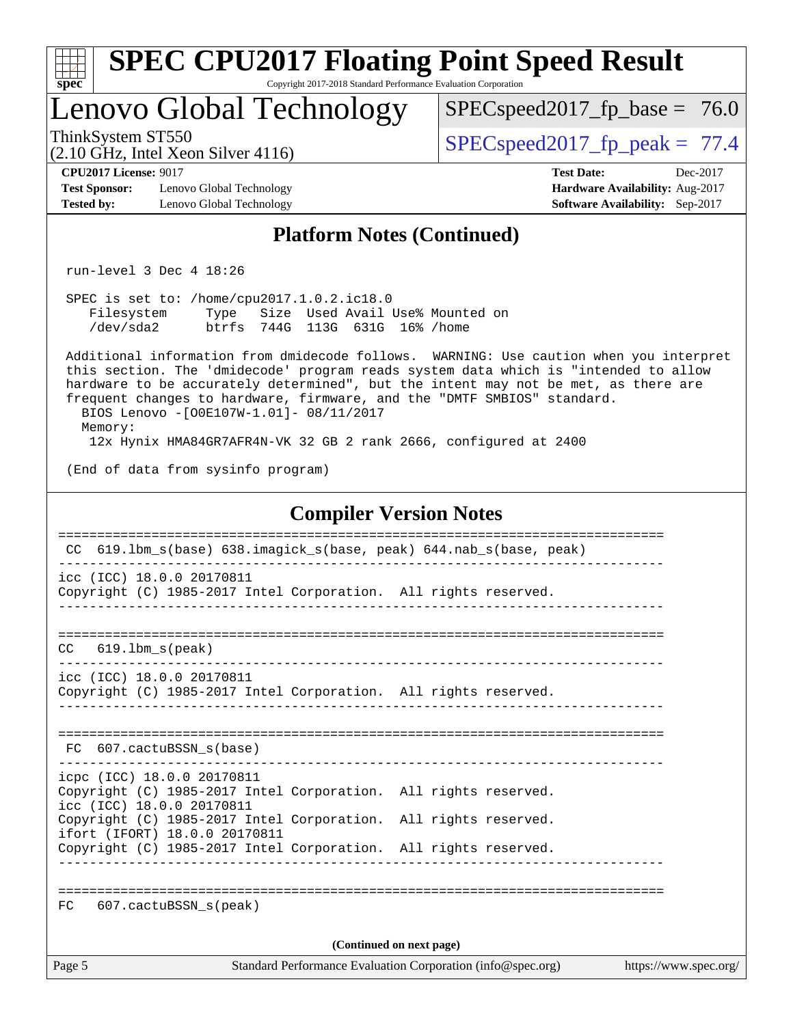|                                                                                                                                   |                                                                         | <b>SPEC CPU2017 Floating Point Speed Result</b>                                                                                                                                                                                                                                                                                                |                                                                                |
|-----------------------------------------------------------------------------------------------------------------------------------|-------------------------------------------------------------------------|------------------------------------------------------------------------------------------------------------------------------------------------------------------------------------------------------------------------------------------------------------------------------------------------------------------------------------------------|--------------------------------------------------------------------------------|
| spec <sup>®</sup><br>Lenovo Global Technology                                                                                     | Copyright 2017-2018 Standard Performance Evaluation Corporation         | $SPEC speed2017_f p\_base = 76.0$                                                                                                                                                                                                                                                                                                              |                                                                                |
| ThinkSystem ST550<br>$(2.10 \text{ GHz}, \text{Intel Xeon Silver } 4116)$                                                         |                                                                         | $SPEC speed2017_fp\_peak = 77.4$                                                                                                                                                                                                                                                                                                               |                                                                                |
| <b>CPU2017 License: 9017</b><br><b>Test Sponsor:</b><br>Lenovo Global Technology<br>Lenovo Global Technology<br><b>Tested by:</b> |                                                                         | <b>Test Date:</b>                                                                                                                                                                                                                                                                                                                              | Dec-2017<br>Hardware Availability: Aug-2017<br>Software Availability: Sep-2017 |
|                                                                                                                                   | <b>Platform Notes (Continued)</b>                                       |                                                                                                                                                                                                                                                                                                                                                |                                                                                |
| run-level $3$ Dec $4$ 18:26                                                                                                       |                                                                         |                                                                                                                                                                                                                                                                                                                                                |                                                                                |
| SPEC is set to: /home/cpu2017.1.0.2.ic18.0<br>Filesystem<br>/dev/sda2                                                             | Type Size Used Avail Use% Mounted on<br>btrfs 744G 113G 631G 16% / home |                                                                                                                                                                                                                                                                                                                                                |                                                                                |
| BIOS Lenovo -[O0E107W-1.01]- 08/11/2017<br>Memory:                                                                                |                                                                         | Additional information from dmidecode follows. WARNING: Use caution when you interpret<br>this section. The 'dmidecode' program reads system data which is "intended to allow<br>hardware to be accurately determined", but the intent may not be met, as there are<br>frequent changes to hardware, firmware, and the "DMTF SMBIOS" standard. |                                                                                |
| (End of data from sysinfo program)                                                                                                |                                                                         | 12x Hynix HMA84GR7AFR4N-VK 32 GB 2 rank 2666, configured at 2400                                                                                                                                                                                                                                                                               |                                                                                |
|                                                                                                                                   |                                                                         |                                                                                                                                                                                                                                                                                                                                                |                                                                                |
|                                                                                                                                   |                                                                         | <b>Compiler Version Notes</b>                                                                                                                                                                                                                                                                                                                  |                                                                                |
| CC 619.1bm_s(base) 638.imagick_s(base, peak) 644.nab_s(base, peak)                                                                |                                                                         |                                                                                                                                                                                                                                                                                                                                                |                                                                                |
| icc (ICC) 18.0.0 20170811<br>Copyright (C) 1985-2017 Intel Corporation. All rights reserved.                                      |                                                                         |                                                                                                                                                                                                                                                                                                                                                |                                                                                |
| $619.1$ bm $s$ (peak)<br>CC                                                                                                       |                                                                         |                                                                                                                                                                                                                                                                                                                                                |                                                                                |
| icc (ICC) 18.0.0 20170811<br>Copyright (C) 1985-2017 Intel Corporation. All rights reserved.                                      |                                                                         |                                                                                                                                                                                                                                                                                                                                                |                                                                                |
| FC 607.cactuBSSN_s(base)                                                                                                          |                                                                         |                                                                                                                                                                                                                                                                                                                                                |                                                                                |
| icpc (ICC) 18.0.0 20170811<br>Copyright (C) 1985-2017 Intel Corporation. All rights reserved.<br>icc (ICC) 18.0.0 20170811        |                                                                         |                                                                                                                                                                                                                                                                                                                                                |                                                                                |
| Copyright (C) 1985-2017 Intel Corporation. All rights reserved.<br>ifort (IFORT) 18.0.0 20170811                                  |                                                                         |                                                                                                                                                                                                                                                                                                                                                |                                                                                |
| Copyright (C) 1985-2017 Intel Corporation. All rights reserved.                                                                   |                                                                         |                                                                                                                                                                                                                                                                                                                                                |                                                                                |
| 607.cactuBSSN_s(peak)<br>FC                                                                                                       |                                                                         |                                                                                                                                                                                                                                                                                                                                                |                                                                                |
|                                                                                                                                   |                                                                         | (Continued on next page)                                                                                                                                                                                                                                                                                                                       |                                                                                |
| Page 5                                                                                                                            |                                                                         | Standard Performance Evaluation Corporation (info@spec.org)                                                                                                                                                                                                                                                                                    | https://www.spec.org/                                                          |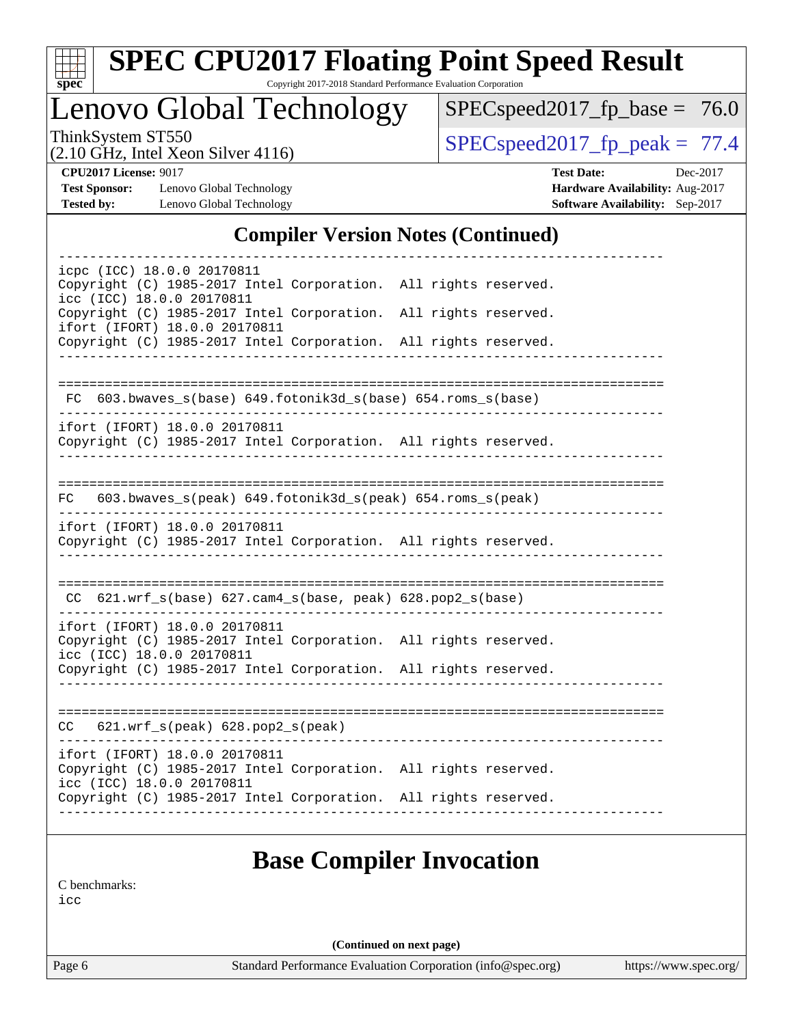

# **[SPEC CPU2017 Floating Point Speed Result](http://www.spec.org/auto/cpu2017/Docs/result-fields.html#SPECCPU2017FloatingPointSpeedResult)**

Copyright 2017-2018 Standard Performance Evaluation Corporation

Lenovo Global Technology

 $SPECspeed2017_fp\_base = 76.0$ 

(2.10 GHz, Intel Xeon Silver 4116)

 $SPECspeed2017_fp\_peak = 77.4$ 

**[Test Sponsor:](http://www.spec.org/auto/cpu2017/Docs/result-fields.html#TestSponsor)** Lenovo Global Technology **[Hardware Availability:](http://www.spec.org/auto/cpu2017/Docs/result-fields.html#HardwareAvailability)** Aug-2017 **[Tested by:](http://www.spec.org/auto/cpu2017/Docs/result-fields.html#Testedby)** Lenovo Global Technology **[Software Availability:](http://www.spec.org/auto/cpu2017/Docs/result-fields.html#SoftwareAvailability)** Sep-2017

**[CPU2017 License:](http://www.spec.org/auto/cpu2017/Docs/result-fields.html#CPU2017License)** 9017 **[Test Date:](http://www.spec.org/auto/cpu2017/Docs/result-fields.html#TestDate)** Dec-2017

## **[Compiler Version Notes \(Continued\)](http://www.spec.org/auto/cpu2017/Docs/result-fields.html#CompilerVersionNotes)**

| icpc (ICC) 18.0.0 20170811<br>Copyright (C) 1985-2017 Intel Corporation. All rights reserved.                                 |                                                                 |
|-------------------------------------------------------------------------------------------------------------------------------|-----------------------------------------------------------------|
| icc (ICC) 18.0.0 20170811<br>Copyright (C) 1985-2017 Intel Corporation. All rights reserved.<br>ifort (IFORT) 18.0.0 20170811 |                                                                 |
| Copyright (C) 1985-2017 Intel Corporation. All rights reserved.                                                               |                                                                 |
|                                                                                                                               |                                                                 |
| FC 603.bwaves_s(base) 649.fotonik3d_s(base) 654.roms_s(base)                                                                  |                                                                 |
| ifort (IFORT) 18.0.0 20170811<br>Copyright (C) 1985-2017 Intel Corporation. All rights reserved.                              |                                                                 |
| 603.bwaves_s(peak) 649.fotonik3d_s(peak) 654.roms_s(peak)<br>FC                                                               |                                                                 |
| ifort (IFORT) 18.0.0 20170811<br>Copyright (C) 1985-2017 Intel Corporation. All rights reserved.                              |                                                                 |
| $CC$ 621.wrf_s(base) 627.cam4_s(base, peak) 628.pop2_s(base)                                                                  |                                                                 |
| ifort (IFORT) 18.0.0 20170811<br>Copyright (C) 1985-2017 Intel Corporation. All rights reserved.<br>icc (ICC) 18.0.0 20170811 |                                                                 |
| Copyright (C) 1985-2017 Intel Corporation. All rights reserved.                                                               |                                                                 |
| $CC$ 621.wrf_s(peak) 628.pop2_s(peak)                                                                                         |                                                                 |
| ifort (IFORT) 18.0.0 20170811<br>Copyright (C) 1985-2017 Intel Corporation. All rights reserved.<br>icc (ICC) 18.0.0 20170811 |                                                                 |
|                                                                                                                               | Copyright (C) 1985-2017 Intel Corporation. All rights reserved. |

[C benchmarks](http://www.spec.org/auto/cpu2017/Docs/result-fields.html#Cbenchmarks):

[icc](http://www.spec.org/cpu2017/results/res2017q4/cpu2017-20171211-01525.flags.html#user_CCbase_intel_icc_18.0_66fc1ee009f7361af1fbd72ca7dcefbb700085f36577c54f309893dd4ec40d12360134090235512931783d35fd58c0460139e722d5067c5574d8eaf2b3e37e92)

**(Continued on next page)**

Page 6 Standard Performance Evaluation Corporation [\(info@spec.org\)](mailto:info@spec.org) <https://www.spec.org/>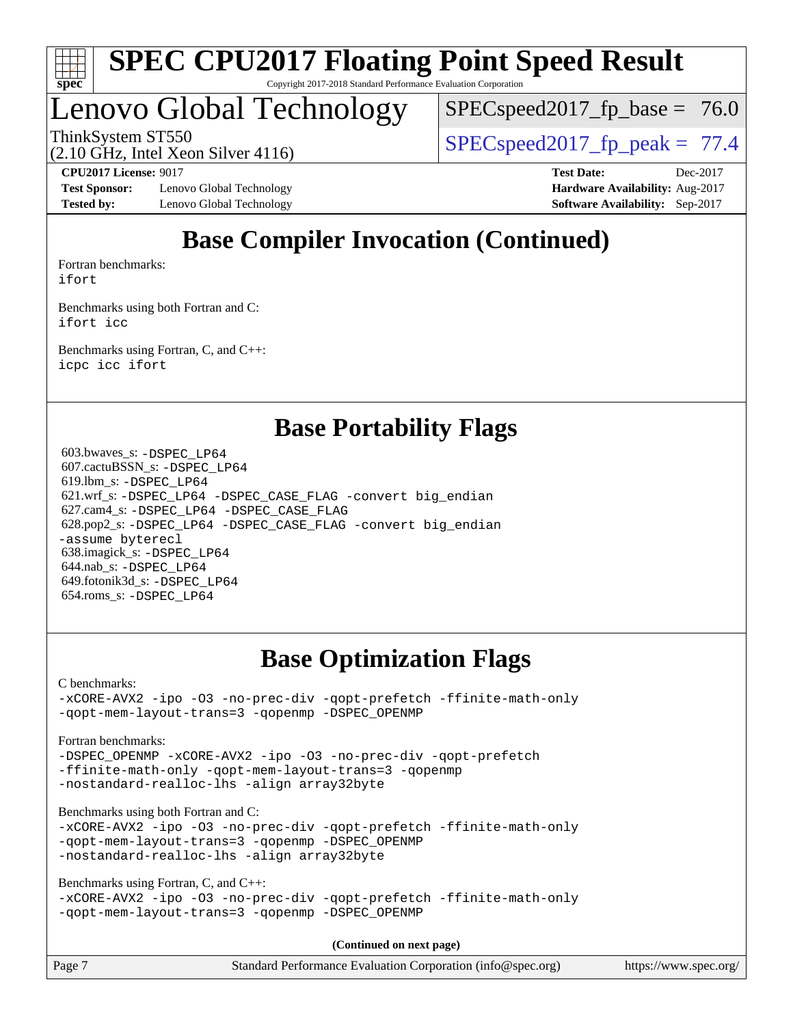

# Lenovo Global Technology

 $SPECspeed2017_fp\_base = 76.0$ 

ThinkSystem ST550  $SPEC speed2017$  fp\_peak = 77.4

(2.10 GHz, Intel Xeon Silver 4116)

**[Test Sponsor:](http://www.spec.org/auto/cpu2017/Docs/result-fields.html#TestSponsor)** Lenovo Global Technology **[Hardware Availability:](http://www.spec.org/auto/cpu2017/Docs/result-fields.html#HardwareAvailability)** Aug-2017 **[Tested by:](http://www.spec.org/auto/cpu2017/Docs/result-fields.html#Testedby)** Lenovo Global Technology **[Software Availability:](http://www.spec.org/auto/cpu2017/Docs/result-fields.html#SoftwareAvailability)** Sep-2017

**[CPU2017 License:](http://www.spec.org/auto/cpu2017/Docs/result-fields.html#CPU2017License)** 9017 **[Test Date:](http://www.spec.org/auto/cpu2017/Docs/result-fields.html#TestDate)** Dec-2017

# **[Base Compiler Invocation \(Continued\)](http://www.spec.org/auto/cpu2017/Docs/result-fields.html#BaseCompilerInvocation)**

[Fortran benchmarks](http://www.spec.org/auto/cpu2017/Docs/result-fields.html#Fortranbenchmarks): [ifort](http://www.spec.org/cpu2017/results/res2017q4/cpu2017-20171211-01525.flags.html#user_FCbase_intel_ifort_18.0_8111460550e3ca792625aed983ce982f94888b8b503583aa7ba2b8303487b4d8a21a13e7191a45c5fd58ff318f48f9492884d4413fa793fd88dd292cad7027ca)

[Benchmarks using both Fortran and C](http://www.spec.org/auto/cpu2017/Docs/result-fields.html#BenchmarksusingbothFortranandC): [ifort](http://www.spec.org/cpu2017/results/res2017q4/cpu2017-20171211-01525.flags.html#user_CC_FCbase_intel_ifort_18.0_8111460550e3ca792625aed983ce982f94888b8b503583aa7ba2b8303487b4d8a21a13e7191a45c5fd58ff318f48f9492884d4413fa793fd88dd292cad7027ca) [icc](http://www.spec.org/cpu2017/results/res2017q4/cpu2017-20171211-01525.flags.html#user_CC_FCbase_intel_icc_18.0_66fc1ee009f7361af1fbd72ca7dcefbb700085f36577c54f309893dd4ec40d12360134090235512931783d35fd58c0460139e722d5067c5574d8eaf2b3e37e92)

[Benchmarks using Fortran, C, and C++:](http://www.spec.org/auto/cpu2017/Docs/result-fields.html#BenchmarksusingFortranCandCXX) [icpc](http://www.spec.org/cpu2017/results/res2017q4/cpu2017-20171211-01525.flags.html#user_CC_CXX_FCbase_intel_icpc_18.0_c510b6838c7f56d33e37e94d029a35b4a7bccf4766a728ee175e80a419847e808290a9b78be685c44ab727ea267ec2f070ec5dc83b407c0218cded6866a35d07) [icc](http://www.spec.org/cpu2017/results/res2017q4/cpu2017-20171211-01525.flags.html#user_CC_CXX_FCbase_intel_icc_18.0_66fc1ee009f7361af1fbd72ca7dcefbb700085f36577c54f309893dd4ec40d12360134090235512931783d35fd58c0460139e722d5067c5574d8eaf2b3e37e92) [ifort](http://www.spec.org/cpu2017/results/res2017q4/cpu2017-20171211-01525.flags.html#user_CC_CXX_FCbase_intel_ifort_18.0_8111460550e3ca792625aed983ce982f94888b8b503583aa7ba2b8303487b4d8a21a13e7191a45c5fd58ff318f48f9492884d4413fa793fd88dd292cad7027ca)

## **[Base Portability Flags](http://www.spec.org/auto/cpu2017/Docs/result-fields.html#BasePortabilityFlags)**

 603.bwaves\_s: [-DSPEC\\_LP64](http://www.spec.org/cpu2017/results/res2017q4/cpu2017-20171211-01525.flags.html#suite_basePORTABILITY603_bwaves_s_DSPEC_LP64) 607.cactuBSSN\_s: [-DSPEC\\_LP64](http://www.spec.org/cpu2017/results/res2017q4/cpu2017-20171211-01525.flags.html#suite_basePORTABILITY607_cactuBSSN_s_DSPEC_LP64) 619.lbm\_s: [-DSPEC\\_LP64](http://www.spec.org/cpu2017/results/res2017q4/cpu2017-20171211-01525.flags.html#suite_basePORTABILITY619_lbm_s_DSPEC_LP64) 621.wrf\_s: [-DSPEC\\_LP64](http://www.spec.org/cpu2017/results/res2017q4/cpu2017-20171211-01525.flags.html#suite_basePORTABILITY621_wrf_s_DSPEC_LP64) [-DSPEC\\_CASE\\_FLAG](http://www.spec.org/cpu2017/results/res2017q4/cpu2017-20171211-01525.flags.html#b621.wrf_s_baseCPORTABILITY_DSPEC_CASE_FLAG) [-convert big\\_endian](http://www.spec.org/cpu2017/results/res2017q4/cpu2017-20171211-01525.flags.html#user_baseFPORTABILITY621_wrf_s_convert_big_endian_c3194028bc08c63ac5d04de18c48ce6d347e4e562e8892b8bdbdc0214820426deb8554edfa529a3fb25a586e65a3d812c835984020483e7e73212c4d31a38223) 627.cam4\_s: [-DSPEC\\_LP64](http://www.spec.org/cpu2017/results/res2017q4/cpu2017-20171211-01525.flags.html#suite_basePORTABILITY627_cam4_s_DSPEC_LP64) [-DSPEC\\_CASE\\_FLAG](http://www.spec.org/cpu2017/results/res2017q4/cpu2017-20171211-01525.flags.html#b627.cam4_s_baseCPORTABILITY_DSPEC_CASE_FLAG) 628.pop2\_s: [-DSPEC\\_LP64](http://www.spec.org/cpu2017/results/res2017q4/cpu2017-20171211-01525.flags.html#suite_basePORTABILITY628_pop2_s_DSPEC_LP64) [-DSPEC\\_CASE\\_FLAG](http://www.spec.org/cpu2017/results/res2017q4/cpu2017-20171211-01525.flags.html#b628.pop2_s_baseCPORTABILITY_DSPEC_CASE_FLAG) [-convert big\\_endian](http://www.spec.org/cpu2017/results/res2017q4/cpu2017-20171211-01525.flags.html#user_baseFPORTABILITY628_pop2_s_convert_big_endian_c3194028bc08c63ac5d04de18c48ce6d347e4e562e8892b8bdbdc0214820426deb8554edfa529a3fb25a586e65a3d812c835984020483e7e73212c4d31a38223) [-assume byterecl](http://www.spec.org/cpu2017/results/res2017q4/cpu2017-20171211-01525.flags.html#user_baseFPORTABILITY628_pop2_s_assume_byterecl_7e47d18b9513cf18525430bbf0f2177aa9bf368bc7a059c09b2c06a34b53bd3447c950d3f8d6c70e3faf3a05c8557d66a5798b567902e8849adc142926523472) 638.imagick\_s: [-DSPEC\\_LP64](http://www.spec.org/cpu2017/results/res2017q4/cpu2017-20171211-01525.flags.html#suite_basePORTABILITY638_imagick_s_DSPEC_LP64) 644.nab\_s: [-DSPEC\\_LP64](http://www.spec.org/cpu2017/results/res2017q4/cpu2017-20171211-01525.flags.html#suite_basePORTABILITY644_nab_s_DSPEC_LP64) 649.fotonik3d\_s: [-DSPEC\\_LP64](http://www.spec.org/cpu2017/results/res2017q4/cpu2017-20171211-01525.flags.html#suite_basePORTABILITY649_fotonik3d_s_DSPEC_LP64) 654.roms\_s: [-DSPEC\\_LP64](http://www.spec.org/cpu2017/results/res2017q4/cpu2017-20171211-01525.flags.html#suite_basePORTABILITY654_roms_s_DSPEC_LP64)

# **[Base Optimization Flags](http://www.spec.org/auto/cpu2017/Docs/result-fields.html#BaseOptimizationFlags)**

[C benchmarks](http://www.spec.org/auto/cpu2017/Docs/result-fields.html#Cbenchmarks): [-xCORE-AVX2](http://www.spec.org/cpu2017/results/res2017q4/cpu2017-20171211-01525.flags.html#user_CCbase_f-xCORE-AVX2) [-ipo](http://www.spec.org/cpu2017/results/res2017q4/cpu2017-20171211-01525.flags.html#user_CCbase_f-ipo) [-O3](http://www.spec.org/cpu2017/results/res2017q4/cpu2017-20171211-01525.flags.html#user_CCbase_f-O3) [-no-prec-div](http://www.spec.org/cpu2017/results/res2017q4/cpu2017-20171211-01525.flags.html#user_CCbase_f-no-prec-div) [-qopt-prefetch](http://www.spec.org/cpu2017/results/res2017q4/cpu2017-20171211-01525.flags.html#user_CCbase_f-qopt-prefetch) [-ffinite-math-only](http://www.spec.org/cpu2017/results/res2017q4/cpu2017-20171211-01525.flags.html#user_CCbase_f_finite_math_only_cb91587bd2077682c4b38af759c288ed7c732db004271a9512da14a4f8007909a5f1427ecbf1a0fb78ff2a814402c6114ac565ca162485bbcae155b5e4258871) [-qopt-mem-layout-trans=3](http://www.spec.org/cpu2017/results/res2017q4/cpu2017-20171211-01525.flags.html#user_CCbase_f-qopt-mem-layout-trans_de80db37974c74b1f0e20d883f0b675c88c3b01e9d123adea9b28688d64333345fb62bc4a798493513fdb68f60282f9a726aa07f478b2f7113531aecce732043) [-qopenmp](http://www.spec.org/cpu2017/results/res2017q4/cpu2017-20171211-01525.flags.html#user_CCbase_qopenmp_16be0c44f24f464004c6784a7acb94aca937f053568ce72f94b139a11c7c168634a55f6653758ddd83bcf7b8463e8028bb0b48b77bcddc6b78d5d95bb1df2967) [-DSPEC\\_OPENMP](http://www.spec.org/cpu2017/results/res2017q4/cpu2017-20171211-01525.flags.html#suite_CCbase_DSPEC_OPENMP)

[Fortran benchmarks](http://www.spec.org/auto/cpu2017/Docs/result-fields.html#Fortranbenchmarks):

[-DSPEC\\_OPENMP](http://www.spec.org/cpu2017/results/res2017q4/cpu2017-20171211-01525.flags.html#suite_FCbase_DSPEC_OPENMP) [-xCORE-AVX2](http://www.spec.org/cpu2017/results/res2017q4/cpu2017-20171211-01525.flags.html#user_FCbase_f-xCORE-AVX2) [-ipo](http://www.spec.org/cpu2017/results/res2017q4/cpu2017-20171211-01525.flags.html#user_FCbase_f-ipo) [-O3](http://www.spec.org/cpu2017/results/res2017q4/cpu2017-20171211-01525.flags.html#user_FCbase_f-O3) [-no-prec-div](http://www.spec.org/cpu2017/results/res2017q4/cpu2017-20171211-01525.flags.html#user_FCbase_f-no-prec-div) [-qopt-prefetch](http://www.spec.org/cpu2017/results/res2017q4/cpu2017-20171211-01525.flags.html#user_FCbase_f-qopt-prefetch) [-ffinite-math-only](http://www.spec.org/cpu2017/results/res2017q4/cpu2017-20171211-01525.flags.html#user_FCbase_f_finite_math_only_cb91587bd2077682c4b38af759c288ed7c732db004271a9512da14a4f8007909a5f1427ecbf1a0fb78ff2a814402c6114ac565ca162485bbcae155b5e4258871) [-qopt-mem-layout-trans=3](http://www.spec.org/cpu2017/results/res2017q4/cpu2017-20171211-01525.flags.html#user_FCbase_f-qopt-mem-layout-trans_de80db37974c74b1f0e20d883f0b675c88c3b01e9d123adea9b28688d64333345fb62bc4a798493513fdb68f60282f9a726aa07f478b2f7113531aecce732043) [-qopenmp](http://www.spec.org/cpu2017/results/res2017q4/cpu2017-20171211-01525.flags.html#user_FCbase_qopenmp_16be0c44f24f464004c6784a7acb94aca937f053568ce72f94b139a11c7c168634a55f6653758ddd83bcf7b8463e8028bb0b48b77bcddc6b78d5d95bb1df2967) [-nostandard-realloc-lhs](http://www.spec.org/cpu2017/results/res2017q4/cpu2017-20171211-01525.flags.html#user_FCbase_f_2003_std_realloc_82b4557e90729c0f113870c07e44d33d6f5a304b4f63d4c15d2d0f1fab99f5daaed73bdb9275d9ae411527f28b936061aa8b9c8f2d63842963b95c9dd6426b8a) [-align array32byte](http://www.spec.org/cpu2017/results/res2017q4/cpu2017-20171211-01525.flags.html#user_FCbase_align_array32byte_b982fe038af199962ba9a80c053b8342c548c85b40b8e86eb3cc33dee0d7986a4af373ac2d51c3f7cf710a18d62fdce2948f201cd044323541f22fc0fffc51b6)

[Benchmarks using both Fortran and C](http://www.spec.org/auto/cpu2017/Docs/result-fields.html#BenchmarksusingbothFortranandC):

[-xCORE-AVX2](http://www.spec.org/cpu2017/results/res2017q4/cpu2017-20171211-01525.flags.html#user_CC_FCbase_f-xCORE-AVX2) [-ipo](http://www.spec.org/cpu2017/results/res2017q4/cpu2017-20171211-01525.flags.html#user_CC_FCbase_f-ipo) [-O3](http://www.spec.org/cpu2017/results/res2017q4/cpu2017-20171211-01525.flags.html#user_CC_FCbase_f-O3) [-no-prec-div](http://www.spec.org/cpu2017/results/res2017q4/cpu2017-20171211-01525.flags.html#user_CC_FCbase_f-no-prec-div) [-qopt-prefetch](http://www.spec.org/cpu2017/results/res2017q4/cpu2017-20171211-01525.flags.html#user_CC_FCbase_f-qopt-prefetch) [-ffinite-math-only](http://www.spec.org/cpu2017/results/res2017q4/cpu2017-20171211-01525.flags.html#user_CC_FCbase_f_finite_math_only_cb91587bd2077682c4b38af759c288ed7c732db004271a9512da14a4f8007909a5f1427ecbf1a0fb78ff2a814402c6114ac565ca162485bbcae155b5e4258871) [-qopt-mem-layout-trans=3](http://www.spec.org/cpu2017/results/res2017q4/cpu2017-20171211-01525.flags.html#user_CC_FCbase_f-qopt-mem-layout-trans_de80db37974c74b1f0e20d883f0b675c88c3b01e9d123adea9b28688d64333345fb62bc4a798493513fdb68f60282f9a726aa07f478b2f7113531aecce732043) [-qopenmp](http://www.spec.org/cpu2017/results/res2017q4/cpu2017-20171211-01525.flags.html#user_CC_FCbase_qopenmp_16be0c44f24f464004c6784a7acb94aca937f053568ce72f94b139a11c7c168634a55f6653758ddd83bcf7b8463e8028bb0b48b77bcddc6b78d5d95bb1df2967) [-DSPEC\\_OPENMP](http://www.spec.org/cpu2017/results/res2017q4/cpu2017-20171211-01525.flags.html#suite_CC_FCbase_DSPEC_OPENMP) [-nostandard-realloc-lhs](http://www.spec.org/cpu2017/results/res2017q4/cpu2017-20171211-01525.flags.html#user_CC_FCbase_f_2003_std_realloc_82b4557e90729c0f113870c07e44d33d6f5a304b4f63d4c15d2d0f1fab99f5daaed73bdb9275d9ae411527f28b936061aa8b9c8f2d63842963b95c9dd6426b8a) [-align array32byte](http://www.spec.org/cpu2017/results/res2017q4/cpu2017-20171211-01525.flags.html#user_CC_FCbase_align_array32byte_b982fe038af199962ba9a80c053b8342c548c85b40b8e86eb3cc33dee0d7986a4af373ac2d51c3f7cf710a18d62fdce2948f201cd044323541f22fc0fffc51b6)

[Benchmarks using Fortran, C, and C++:](http://www.spec.org/auto/cpu2017/Docs/result-fields.html#BenchmarksusingFortranCandCXX)

```
-xCORE-AVX2 -ipo -O3 -no-prec-div -qopt-prefetch -ffinite-math-only
-qopt-mem-layout-trans=3 -qopenmp -DSPEC_OPENMP
```
**(Continued on next page)**

| Page 7 | Standard Performance Evaluation Corporation (info@spec.org) | https://www.spec.org/ |
|--------|-------------------------------------------------------------|-----------------------|
|        |                                                             |                       |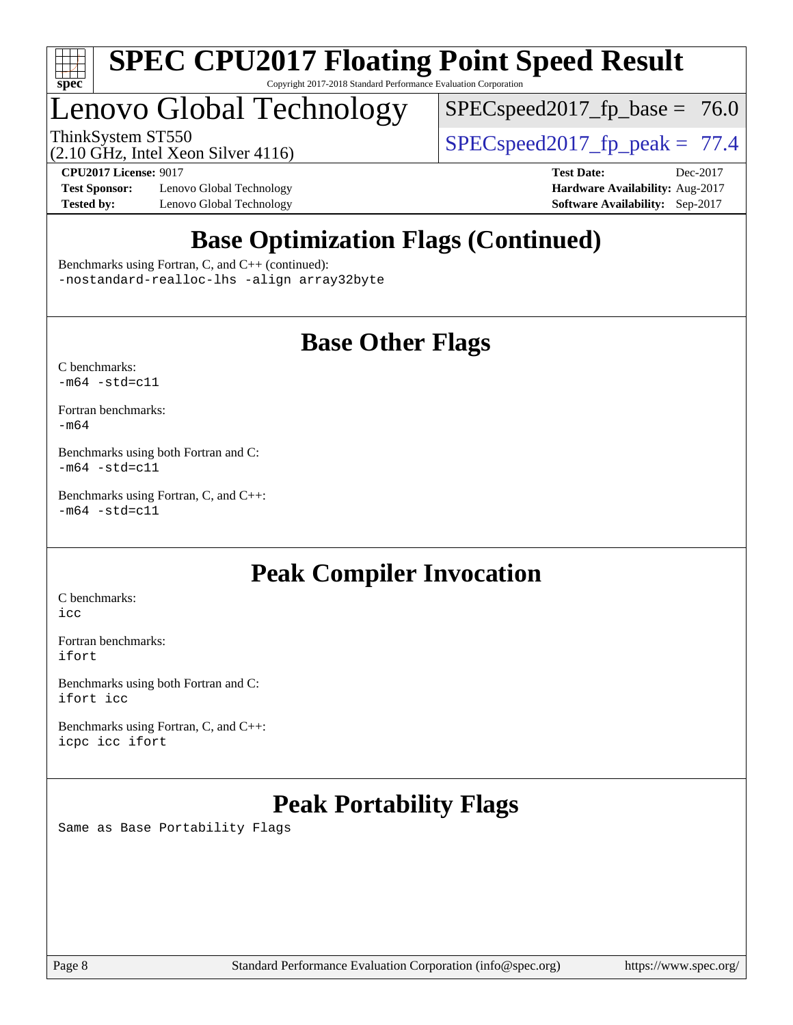

# Lenovo Global Technology

 $SPECspeed2017_fp\_base = 76.0$ 

ThinkSystem ST550  $SPIZ$  Intel Year Silver 4116

(2.10 GHz, Intel Xeon Silver 4116)

**[Test Sponsor:](http://www.spec.org/auto/cpu2017/Docs/result-fields.html#TestSponsor)** Lenovo Global Technology **[Hardware Availability:](http://www.spec.org/auto/cpu2017/Docs/result-fields.html#HardwareAvailability)** Aug-2017 **[Tested by:](http://www.spec.org/auto/cpu2017/Docs/result-fields.html#Testedby)** Lenovo Global Technology **[Software Availability:](http://www.spec.org/auto/cpu2017/Docs/result-fields.html#SoftwareAvailability)** Sep-2017

**[CPU2017 License:](http://www.spec.org/auto/cpu2017/Docs/result-fields.html#CPU2017License)** 9017 **[Test Date:](http://www.spec.org/auto/cpu2017/Docs/result-fields.html#TestDate)** Dec-2017

# **[Base Optimization Flags \(Continued\)](http://www.spec.org/auto/cpu2017/Docs/result-fields.html#BaseOptimizationFlags)**

[Benchmarks using Fortran, C, and C++](http://www.spec.org/auto/cpu2017/Docs/result-fields.html#BenchmarksusingFortranCandCXX) (continued): [-nostandard-realloc-lhs](http://www.spec.org/cpu2017/results/res2017q4/cpu2017-20171211-01525.flags.html#user_CC_CXX_FCbase_f_2003_std_realloc_82b4557e90729c0f113870c07e44d33d6f5a304b4f63d4c15d2d0f1fab99f5daaed73bdb9275d9ae411527f28b936061aa8b9c8f2d63842963b95c9dd6426b8a) [-align array32byte](http://www.spec.org/cpu2017/results/res2017q4/cpu2017-20171211-01525.flags.html#user_CC_CXX_FCbase_align_array32byte_b982fe038af199962ba9a80c053b8342c548c85b40b8e86eb3cc33dee0d7986a4af373ac2d51c3f7cf710a18d62fdce2948f201cd044323541f22fc0fffc51b6)

# **[Base Other Flags](http://www.spec.org/auto/cpu2017/Docs/result-fields.html#BaseOtherFlags)**

[C benchmarks](http://www.spec.org/auto/cpu2017/Docs/result-fields.html#Cbenchmarks):  $-m64 - std= c11$  $-m64 - std= c11$ 

[Fortran benchmarks](http://www.spec.org/auto/cpu2017/Docs/result-fields.html#Fortranbenchmarks): [-m64](http://www.spec.org/cpu2017/results/res2017q4/cpu2017-20171211-01525.flags.html#user_FCbase_intel_intel64_18.0_af43caccfc8ded86e7699f2159af6efc7655f51387b94da716254467f3c01020a5059329e2569e4053f409e7c9202a7efc638f7a6d1ffb3f52dea4a3e31d82ab)

[Benchmarks using both Fortran and C](http://www.spec.org/auto/cpu2017/Docs/result-fields.html#BenchmarksusingbothFortranandC):  $-m64 - std = c11$  $-m64 - std = c11$ 

[Benchmarks using Fortran, C, and C++:](http://www.spec.org/auto/cpu2017/Docs/result-fields.html#BenchmarksusingFortranCandCXX)  $-m64 - std = c11$  $-m64 - std = c11$ 

# **[Peak Compiler Invocation](http://www.spec.org/auto/cpu2017/Docs/result-fields.html#PeakCompilerInvocation)**

[C benchmarks](http://www.spec.org/auto/cpu2017/Docs/result-fields.html#Cbenchmarks): [icc](http://www.spec.org/cpu2017/results/res2017q4/cpu2017-20171211-01525.flags.html#user_CCpeak_intel_icc_18.0_66fc1ee009f7361af1fbd72ca7dcefbb700085f36577c54f309893dd4ec40d12360134090235512931783d35fd58c0460139e722d5067c5574d8eaf2b3e37e92)

[Fortran benchmarks](http://www.spec.org/auto/cpu2017/Docs/result-fields.html#Fortranbenchmarks): [ifort](http://www.spec.org/cpu2017/results/res2017q4/cpu2017-20171211-01525.flags.html#user_FCpeak_intel_ifort_18.0_8111460550e3ca792625aed983ce982f94888b8b503583aa7ba2b8303487b4d8a21a13e7191a45c5fd58ff318f48f9492884d4413fa793fd88dd292cad7027ca)

[Benchmarks using both Fortran and C](http://www.spec.org/auto/cpu2017/Docs/result-fields.html#BenchmarksusingbothFortranandC): [ifort](http://www.spec.org/cpu2017/results/res2017q4/cpu2017-20171211-01525.flags.html#user_CC_FCpeak_intel_ifort_18.0_8111460550e3ca792625aed983ce982f94888b8b503583aa7ba2b8303487b4d8a21a13e7191a45c5fd58ff318f48f9492884d4413fa793fd88dd292cad7027ca) [icc](http://www.spec.org/cpu2017/results/res2017q4/cpu2017-20171211-01525.flags.html#user_CC_FCpeak_intel_icc_18.0_66fc1ee009f7361af1fbd72ca7dcefbb700085f36577c54f309893dd4ec40d12360134090235512931783d35fd58c0460139e722d5067c5574d8eaf2b3e37e92)

[Benchmarks using Fortran, C, and C++:](http://www.spec.org/auto/cpu2017/Docs/result-fields.html#BenchmarksusingFortranCandCXX) [icpc](http://www.spec.org/cpu2017/results/res2017q4/cpu2017-20171211-01525.flags.html#user_CC_CXX_FCpeak_intel_icpc_18.0_c510b6838c7f56d33e37e94d029a35b4a7bccf4766a728ee175e80a419847e808290a9b78be685c44ab727ea267ec2f070ec5dc83b407c0218cded6866a35d07) [icc](http://www.spec.org/cpu2017/results/res2017q4/cpu2017-20171211-01525.flags.html#user_CC_CXX_FCpeak_intel_icc_18.0_66fc1ee009f7361af1fbd72ca7dcefbb700085f36577c54f309893dd4ec40d12360134090235512931783d35fd58c0460139e722d5067c5574d8eaf2b3e37e92) [ifort](http://www.spec.org/cpu2017/results/res2017q4/cpu2017-20171211-01525.flags.html#user_CC_CXX_FCpeak_intel_ifort_18.0_8111460550e3ca792625aed983ce982f94888b8b503583aa7ba2b8303487b4d8a21a13e7191a45c5fd58ff318f48f9492884d4413fa793fd88dd292cad7027ca)

# **[Peak Portability Flags](http://www.spec.org/auto/cpu2017/Docs/result-fields.html#PeakPortabilityFlags)**

Same as Base Portability Flags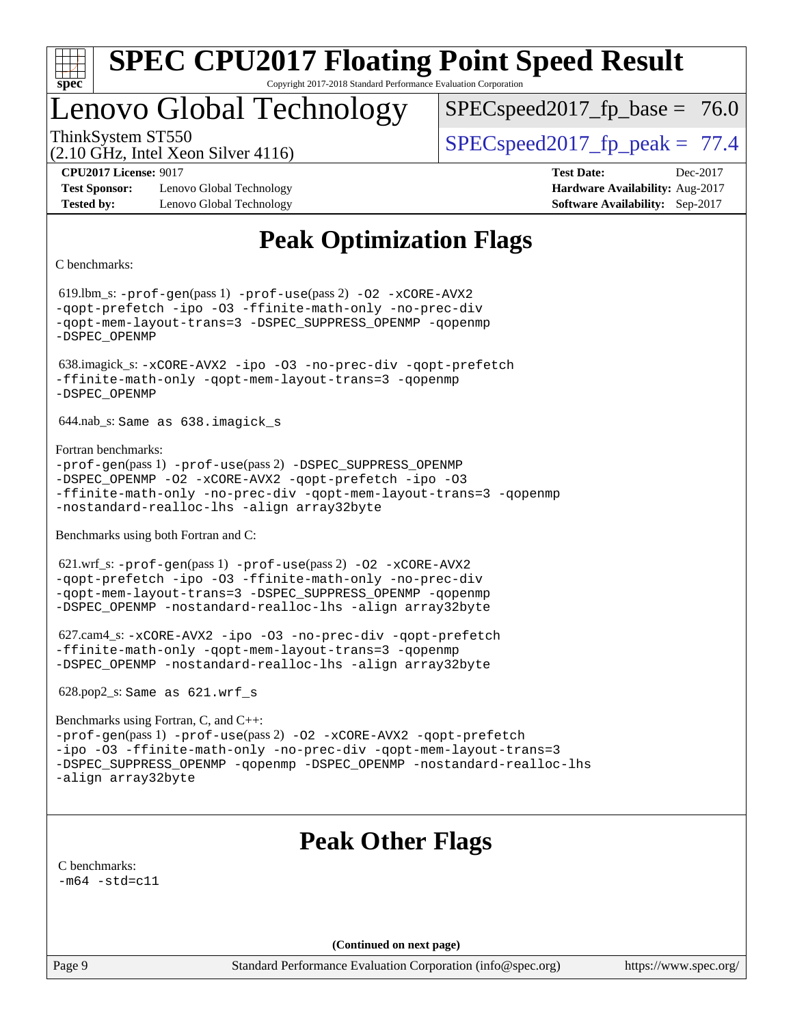

# Lenovo Global Technology

 $SPECspeed2017_fp\_base = 76.0$ 

(2.10 GHz, Intel Xeon Silver 4116)

ThinkSystem ST550  $SPEC speed2017$  fp\_peak = 77.4

**[Test Sponsor:](http://www.spec.org/auto/cpu2017/Docs/result-fields.html#TestSponsor)** Lenovo Global Technology **[Hardware Availability:](http://www.spec.org/auto/cpu2017/Docs/result-fields.html#HardwareAvailability)** Aug-2017 **[Tested by:](http://www.spec.org/auto/cpu2017/Docs/result-fields.html#Testedby)** Lenovo Global Technology **[Software Availability:](http://www.spec.org/auto/cpu2017/Docs/result-fields.html#SoftwareAvailability)** Sep-2017

**[CPU2017 License:](http://www.spec.org/auto/cpu2017/Docs/result-fields.html#CPU2017License)** 9017 **[Test Date:](http://www.spec.org/auto/cpu2017/Docs/result-fields.html#TestDate)** Dec-2017

# **[Peak Optimization Flags](http://www.spec.org/auto/cpu2017/Docs/result-fields.html#PeakOptimizationFlags)**

[C benchmarks](http://www.spec.org/auto/cpu2017/Docs/result-fields.html#Cbenchmarks):

 619.lbm\_s: [-prof-gen](http://www.spec.org/cpu2017/results/res2017q4/cpu2017-20171211-01525.flags.html#user_peakPASS1_CFLAGSPASS1_LDFLAGS619_lbm_s_prof_gen_5aa4926d6013ddb2a31985c654b3eb18169fc0c6952a63635c234f711e6e63dd76e94ad52365559451ec499a2cdb89e4dc58ba4c67ef54ca681ffbe1461d6b36)(pass 1) [-prof-use](http://www.spec.org/cpu2017/results/res2017q4/cpu2017-20171211-01525.flags.html#user_peakPASS2_CFLAGSPASS2_LDFLAGS619_lbm_s_prof_use_1a21ceae95f36a2b53c25747139a6c16ca95bd9def2a207b4f0849963b97e94f5260e30a0c64f4bb623698870e679ca08317ef8150905d41bd88c6f78df73f19)(pass 2) [-O2](http://www.spec.org/cpu2017/results/res2017q4/cpu2017-20171211-01525.flags.html#user_peakPASS1_COPTIMIZE619_lbm_s_f-O2) [-xCORE-AVX2](http://www.spec.org/cpu2017/results/res2017q4/cpu2017-20171211-01525.flags.html#user_peakPASS2_COPTIMIZE619_lbm_s_f-xCORE-AVX2) [-qopt-prefetch](http://www.spec.org/cpu2017/results/res2017q4/cpu2017-20171211-01525.flags.html#user_peakPASS1_COPTIMIZEPASS2_COPTIMIZE619_lbm_s_f-qopt-prefetch) [-ipo](http://www.spec.org/cpu2017/results/res2017q4/cpu2017-20171211-01525.flags.html#user_peakPASS2_COPTIMIZE619_lbm_s_f-ipo) [-O3](http://www.spec.org/cpu2017/results/res2017q4/cpu2017-20171211-01525.flags.html#user_peakPASS2_COPTIMIZE619_lbm_s_f-O3) [-ffinite-math-only](http://www.spec.org/cpu2017/results/res2017q4/cpu2017-20171211-01525.flags.html#user_peakPASS1_COPTIMIZEPASS2_COPTIMIZE619_lbm_s_f_finite_math_only_cb91587bd2077682c4b38af759c288ed7c732db004271a9512da14a4f8007909a5f1427ecbf1a0fb78ff2a814402c6114ac565ca162485bbcae155b5e4258871) [-no-prec-div](http://www.spec.org/cpu2017/results/res2017q4/cpu2017-20171211-01525.flags.html#user_peakPASS2_COPTIMIZE619_lbm_s_f-no-prec-div) [-qopt-mem-layout-trans=3](http://www.spec.org/cpu2017/results/res2017q4/cpu2017-20171211-01525.flags.html#user_peakPASS1_COPTIMIZEPASS2_COPTIMIZE619_lbm_s_f-qopt-mem-layout-trans_de80db37974c74b1f0e20d883f0b675c88c3b01e9d123adea9b28688d64333345fb62bc4a798493513fdb68f60282f9a726aa07f478b2f7113531aecce732043) [-DSPEC\\_SUPPRESS\\_OPENMP](http://www.spec.org/cpu2017/results/res2017q4/cpu2017-20171211-01525.flags.html#suite_peakPASS1_COPTIMIZE619_lbm_s_DSPEC_SUPPRESS_OPENMP) [-qopenmp](http://www.spec.org/cpu2017/results/res2017q4/cpu2017-20171211-01525.flags.html#user_peakPASS2_COPTIMIZE619_lbm_s_qopenmp_16be0c44f24f464004c6784a7acb94aca937f053568ce72f94b139a11c7c168634a55f6653758ddd83bcf7b8463e8028bb0b48b77bcddc6b78d5d95bb1df2967) [-DSPEC\\_OPENMP](http://www.spec.org/cpu2017/results/res2017q4/cpu2017-20171211-01525.flags.html#suite_peakPASS2_COPTIMIZE619_lbm_s_DSPEC_OPENMP) 638.imagick\_s: [-xCORE-AVX2](http://www.spec.org/cpu2017/results/res2017q4/cpu2017-20171211-01525.flags.html#user_peakCOPTIMIZE638_imagick_s_f-xCORE-AVX2) [-ipo](http://www.spec.org/cpu2017/results/res2017q4/cpu2017-20171211-01525.flags.html#user_peakCOPTIMIZE638_imagick_s_f-ipo) [-O3](http://www.spec.org/cpu2017/results/res2017q4/cpu2017-20171211-01525.flags.html#user_peakCOPTIMIZE638_imagick_s_f-O3) [-no-prec-div](http://www.spec.org/cpu2017/results/res2017q4/cpu2017-20171211-01525.flags.html#user_peakCOPTIMIZE638_imagick_s_f-no-prec-div) [-qopt-prefetch](http://www.spec.org/cpu2017/results/res2017q4/cpu2017-20171211-01525.flags.html#user_peakCOPTIMIZE638_imagick_s_f-qopt-prefetch) [-ffinite-math-only](http://www.spec.org/cpu2017/results/res2017q4/cpu2017-20171211-01525.flags.html#user_peakCOPTIMIZE638_imagick_s_f_finite_math_only_cb91587bd2077682c4b38af759c288ed7c732db004271a9512da14a4f8007909a5f1427ecbf1a0fb78ff2a814402c6114ac565ca162485bbcae155b5e4258871) [-qopt-mem-layout-trans=3](http://www.spec.org/cpu2017/results/res2017q4/cpu2017-20171211-01525.flags.html#user_peakCOPTIMIZE638_imagick_s_f-qopt-mem-layout-trans_de80db37974c74b1f0e20d883f0b675c88c3b01e9d123adea9b28688d64333345fb62bc4a798493513fdb68f60282f9a726aa07f478b2f7113531aecce732043) [-qopenmp](http://www.spec.org/cpu2017/results/res2017q4/cpu2017-20171211-01525.flags.html#user_peakCOPTIMIZE638_imagick_s_qopenmp_16be0c44f24f464004c6784a7acb94aca937f053568ce72f94b139a11c7c168634a55f6653758ddd83bcf7b8463e8028bb0b48b77bcddc6b78d5d95bb1df2967) [-DSPEC\\_OPENMP](http://www.spec.org/cpu2017/results/res2017q4/cpu2017-20171211-01525.flags.html#suite_peakCOPTIMIZE638_imagick_s_DSPEC_OPENMP) 644.nab\_s: Same as 638.imagick\_s [Fortran benchmarks](http://www.spec.org/auto/cpu2017/Docs/result-fields.html#Fortranbenchmarks): [-prof-gen](http://www.spec.org/cpu2017/results/res2017q4/cpu2017-20171211-01525.flags.html#user_FCpeak_prof_gen_5aa4926d6013ddb2a31985c654b3eb18169fc0c6952a63635c234f711e6e63dd76e94ad52365559451ec499a2cdb89e4dc58ba4c67ef54ca681ffbe1461d6b36)(pass 1) [-prof-use](http://www.spec.org/cpu2017/results/res2017q4/cpu2017-20171211-01525.flags.html#user_FCpeak_prof_use_1a21ceae95f36a2b53c25747139a6c16ca95bd9def2a207b4f0849963b97e94f5260e30a0c64f4bb623698870e679ca08317ef8150905d41bd88c6f78df73f19)(pass 2) [-DSPEC\\_SUPPRESS\\_OPENMP](http://www.spec.org/cpu2017/results/res2017q4/cpu2017-20171211-01525.flags.html#suite_FCpeak_DSPEC_SUPPRESS_OPENMP) [-DSPEC\\_OPENMP](http://www.spec.org/cpu2017/results/res2017q4/cpu2017-20171211-01525.flags.html#suite_FCpeak_DSPEC_OPENMP) [-O2](http://www.spec.org/cpu2017/results/res2017q4/cpu2017-20171211-01525.flags.html#user_FCpeak_f-O2) [-xCORE-AVX2](http://www.spec.org/cpu2017/results/res2017q4/cpu2017-20171211-01525.flags.html#user_FCpeak_f-xCORE-AVX2) [-qopt-prefetch](http://www.spec.org/cpu2017/results/res2017q4/cpu2017-20171211-01525.flags.html#user_FCpeak_f-qopt-prefetch) [-ipo](http://www.spec.org/cpu2017/results/res2017q4/cpu2017-20171211-01525.flags.html#user_FCpeak_f-ipo) [-O3](http://www.spec.org/cpu2017/results/res2017q4/cpu2017-20171211-01525.flags.html#user_FCpeak_f-O3) [-ffinite-math-only](http://www.spec.org/cpu2017/results/res2017q4/cpu2017-20171211-01525.flags.html#user_FCpeak_f_finite_math_only_cb91587bd2077682c4b38af759c288ed7c732db004271a9512da14a4f8007909a5f1427ecbf1a0fb78ff2a814402c6114ac565ca162485bbcae155b5e4258871) [-no-prec-div](http://www.spec.org/cpu2017/results/res2017q4/cpu2017-20171211-01525.flags.html#user_FCpeak_f-no-prec-div) [-qopt-mem-layout-trans=3](http://www.spec.org/cpu2017/results/res2017q4/cpu2017-20171211-01525.flags.html#user_FCpeak_f-qopt-mem-layout-trans_de80db37974c74b1f0e20d883f0b675c88c3b01e9d123adea9b28688d64333345fb62bc4a798493513fdb68f60282f9a726aa07f478b2f7113531aecce732043) [-qopenmp](http://www.spec.org/cpu2017/results/res2017q4/cpu2017-20171211-01525.flags.html#user_FCpeak_qopenmp_16be0c44f24f464004c6784a7acb94aca937f053568ce72f94b139a11c7c168634a55f6653758ddd83bcf7b8463e8028bb0b48b77bcddc6b78d5d95bb1df2967) [-nostandard-realloc-lhs](http://www.spec.org/cpu2017/results/res2017q4/cpu2017-20171211-01525.flags.html#user_FCpeak_f_2003_std_realloc_82b4557e90729c0f113870c07e44d33d6f5a304b4f63d4c15d2d0f1fab99f5daaed73bdb9275d9ae411527f28b936061aa8b9c8f2d63842963b95c9dd6426b8a) [-align array32byte](http://www.spec.org/cpu2017/results/res2017q4/cpu2017-20171211-01525.flags.html#user_FCpeak_align_array32byte_b982fe038af199962ba9a80c053b8342c548c85b40b8e86eb3cc33dee0d7986a4af373ac2d51c3f7cf710a18d62fdce2948f201cd044323541f22fc0fffc51b6) [Benchmarks using both Fortran and C](http://www.spec.org/auto/cpu2017/Docs/result-fields.html#BenchmarksusingbothFortranandC): 621.wrf\_s: [-prof-gen](http://www.spec.org/cpu2017/results/res2017q4/cpu2017-20171211-01525.flags.html#user_peakPASS1_CFLAGSPASS1_FFLAGSPASS1_LDFLAGS621_wrf_s_prof_gen_5aa4926d6013ddb2a31985c654b3eb18169fc0c6952a63635c234f711e6e63dd76e94ad52365559451ec499a2cdb89e4dc58ba4c67ef54ca681ffbe1461d6b36)(pass 1) [-prof-use](http://www.spec.org/cpu2017/results/res2017q4/cpu2017-20171211-01525.flags.html#user_peakPASS2_CFLAGSPASS2_FFLAGSPASS2_LDFLAGS621_wrf_s_prof_use_1a21ceae95f36a2b53c25747139a6c16ca95bd9def2a207b4f0849963b97e94f5260e30a0c64f4bb623698870e679ca08317ef8150905d41bd88c6f78df73f19)(pass 2) [-O2](http://www.spec.org/cpu2017/results/res2017q4/cpu2017-20171211-01525.flags.html#user_peakPASS1_COPTIMIZEPASS1_FOPTIMIZE621_wrf_s_f-O2) [-xCORE-AVX2](http://www.spec.org/cpu2017/results/res2017q4/cpu2017-20171211-01525.flags.html#user_peakPASS2_COPTIMIZEPASS2_FOPTIMIZE621_wrf_s_f-xCORE-AVX2) [-qopt-prefetch](http://www.spec.org/cpu2017/results/res2017q4/cpu2017-20171211-01525.flags.html#user_peakPASS1_COPTIMIZEPASS1_FOPTIMIZEPASS2_COPTIMIZEPASS2_FOPTIMIZE621_wrf_s_f-qopt-prefetch) [-ipo](http://www.spec.org/cpu2017/results/res2017q4/cpu2017-20171211-01525.flags.html#user_peakPASS2_COPTIMIZEPASS2_FOPTIMIZE621_wrf_s_f-ipo) [-O3](http://www.spec.org/cpu2017/results/res2017q4/cpu2017-20171211-01525.flags.html#user_peakPASS2_COPTIMIZEPASS2_FOPTIMIZE621_wrf_s_f-O3) [-ffinite-math-only](http://www.spec.org/cpu2017/results/res2017q4/cpu2017-20171211-01525.flags.html#user_peakPASS1_COPTIMIZEPASS1_FOPTIMIZEPASS2_COPTIMIZEPASS2_FOPTIMIZE621_wrf_s_f_finite_math_only_cb91587bd2077682c4b38af759c288ed7c732db004271a9512da14a4f8007909a5f1427ecbf1a0fb78ff2a814402c6114ac565ca162485bbcae155b5e4258871) [-no-prec-div](http://www.spec.org/cpu2017/results/res2017q4/cpu2017-20171211-01525.flags.html#user_peakPASS2_COPTIMIZEPASS2_FOPTIMIZE621_wrf_s_f-no-prec-div) [-qopt-mem-layout-trans=3](http://www.spec.org/cpu2017/results/res2017q4/cpu2017-20171211-01525.flags.html#user_peakPASS1_COPTIMIZEPASS1_FOPTIMIZEPASS2_COPTIMIZEPASS2_FOPTIMIZE621_wrf_s_f-qopt-mem-layout-trans_de80db37974c74b1f0e20d883f0b675c88c3b01e9d123adea9b28688d64333345fb62bc4a798493513fdb68f60282f9a726aa07f478b2f7113531aecce732043) [-DSPEC\\_SUPPRESS\\_OPENMP](http://www.spec.org/cpu2017/results/res2017q4/cpu2017-20171211-01525.flags.html#suite_peakPASS1_COPTIMIZEPASS1_FOPTIMIZE621_wrf_s_DSPEC_SUPPRESS_OPENMP) [-qopenmp](http://www.spec.org/cpu2017/results/res2017q4/cpu2017-20171211-01525.flags.html#user_peakPASS2_COPTIMIZEPASS2_FOPTIMIZE621_wrf_s_qopenmp_16be0c44f24f464004c6784a7acb94aca937f053568ce72f94b139a11c7c168634a55f6653758ddd83bcf7b8463e8028bb0b48b77bcddc6b78d5d95bb1df2967) [-DSPEC\\_OPENMP](http://www.spec.org/cpu2017/results/res2017q4/cpu2017-20171211-01525.flags.html#suite_peakPASS2_COPTIMIZEPASS2_FOPTIMIZE621_wrf_s_DSPEC_OPENMP) [-nostandard-realloc-lhs](http://www.spec.org/cpu2017/results/res2017q4/cpu2017-20171211-01525.flags.html#user_peakEXTRA_FOPTIMIZE621_wrf_s_f_2003_std_realloc_82b4557e90729c0f113870c07e44d33d6f5a304b4f63d4c15d2d0f1fab99f5daaed73bdb9275d9ae411527f28b936061aa8b9c8f2d63842963b95c9dd6426b8a) [-align array32byte](http://www.spec.org/cpu2017/results/res2017q4/cpu2017-20171211-01525.flags.html#user_peakEXTRA_FOPTIMIZE621_wrf_s_align_array32byte_b982fe038af199962ba9a80c053b8342c548c85b40b8e86eb3cc33dee0d7986a4af373ac2d51c3f7cf710a18d62fdce2948f201cd044323541f22fc0fffc51b6) 627.cam4\_s: [-xCORE-AVX2](http://www.spec.org/cpu2017/results/res2017q4/cpu2017-20171211-01525.flags.html#user_peakCOPTIMIZEFOPTIMIZE627_cam4_s_f-xCORE-AVX2) [-ipo](http://www.spec.org/cpu2017/results/res2017q4/cpu2017-20171211-01525.flags.html#user_peakCOPTIMIZEFOPTIMIZE627_cam4_s_f-ipo) [-O3](http://www.spec.org/cpu2017/results/res2017q4/cpu2017-20171211-01525.flags.html#user_peakCOPTIMIZEFOPTIMIZE627_cam4_s_f-O3) [-no-prec-div](http://www.spec.org/cpu2017/results/res2017q4/cpu2017-20171211-01525.flags.html#user_peakCOPTIMIZEFOPTIMIZE627_cam4_s_f-no-prec-div) [-qopt-prefetch](http://www.spec.org/cpu2017/results/res2017q4/cpu2017-20171211-01525.flags.html#user_peakCOPTIMIZEFOPTIMIZE627_cam4_s_f-qopt-prefetch) [-ffinite-math-only](http://www.spec.org/cpu2017/results/res2017q4/cpu2017-20171211-01525.flags.html#user_peakCOPTIMIZEFOPTIMIZE627_cam4_s_f_finite_math_only_cb91587bd2077682c4b38af759c288ed7c732db004271a9512da14a4f8007909a5f1427ecbf1a0fb78ff2a814402c6114ac565ca162485bbcae155b5e4258871) [-qopt-mem-layout-trans=3](http://www.spec.org/cpu2017/results/res2017q4/cpu2017-20171211-01525.flags.html#user_peakCOPTIMIZEFOPTIMIZE627_cam4_s_f-qopt-mem-layout-trans_de80db37974c74b1f0e20d883f0b675c88c3b01e9d123adea9b28688d64333345fb62bc4a798493513fdb68f60282f9a726aa07f478b2f7113531aecce732043) [-qopenmp](http://www.spec.org/cpu2017/results/res2017q4/cpu2017-20171211-01525.flags.html#user_peakCOPTIMIZEFOPTIMIZE627_cam4_s_qopenmp_16be0c44f24f464004c6784a7acb94aca937f053568ce72f94b139a11c7c168634a55f6653758ddd83bcf7b8463e8028bb0b48b77bcddc6b78d5d95bb1df2967) [-DSPEC\\_OPENMP](http://www.spec.org/cpu2017/results/res2017q4/cpu2017-20171211-01525.flags.html#suite_peakCOPTIMIZEFOPTIMIZE627_cam4_s_DSPEC_OPENMP) [-nostandard-realloc-lhs](http://www.spec.org/cpu2017/results/res2017q4/cpu2017-20171211-01525.flags.html#user_peakEXTRA_FOPTIMIZE627_cam4_s_f_2003_std_realloc_82b4557e90729c0f113870c07e44d33d6f5a304b4f63d4c15d2d0f1fab99f5daaed73bdb9275d9ae411527f28b936061aa8b9c8f2d63842963b95c9dd6426b8a) [-align array32byte](http://www.spec.org/cpu2017/results/res2017q4/cpu2017-20171211-01525.flags.html#user_peakEXTRA_FOPTIMIZE627_cam4_s_align_array32byte_b982fe038af199962ba9a80c053b8342c548c85b40b8e86eb3cc33dee0d7986a4af373ac2d51c3f7cf710a18d62fdce2948f201cd044323541f22fc0fffc51b6) 628.pop2\_s: Same as 621.wrf\_s [Benchmarks using Fortran, C, and C++](http://www.spec.org/auto/cpu2017/Docs/result-fields.html#BenchmarksusingFortranCandCXX): [-prof-gen](http://www.spec.org/cpu2017/results/res2017q4/cpu2017-20171211-01525.flags.html#user_CC_CXX_FCpeak_prof_gen_5aa4926d6013ddb2a31985c654b3eb18169fc0c6952a63635c234f711e6e63dd76e94ad52365559451ec499a2cdb89e4dc58ba4c67ef54ca681ffbe1461d6b36)(pass 1) [-prof-use](http://www.spec.org/cpu2017/results/res2017q4/cpu2017-20171211-01525.flags.html#user_CC_CXX_FCpeak_prof_use_1a21ceae95f36a2b53c25747139a6c16ca95bd9def2a207b4f0849963b97e94f5260e30a0c64f4bb623698870e679ca08317ef8150905d41bd88c6f78df73f19)(pass 2) [-O2](http://www.spec.org/cpu2017/results/res2017q4/cpu2017-20171211-01525.flags.html#user_CC_CXX_FCpeak_f-O2) [-xCORE-AVX2](http://www.spec.org/cpu2017/results/res2017q4/cpu2017-20171211-01525.flags.html#user_CC_CXX_FCpeak_f-xCORE-AVX2) [-qopt-prefetch](http://www.spec.org/cpu2017/results/res2017q4/cpu2017-20171211-01525.flags.html#user_CC_CXX_FCpeak_f-qopt-prefetch) [-ipo](http://www.spec.org/cpu2017/results/res2017q4/cpu2017-20171211-01525.flags.html#user_CC_CXX_FCpeak_f-ipo) [-O3](http://www.spec.org/cpu2017/results/res2017q4/cpu2017-20171211-01525.flags.html#user_CC_CXX_FCpeak_f-O3) [-ffinite-math-only](http://www.spec.org/cpu2017/results/res2017q4/cpu2017-20171211-01525.flags.html#user_CC_CXX_FCpeak_f_finite_math_only_cb91587bd2077682c4b38af759c288ed7c732db004271a9512da14a4f8007909a5f1427ecbf1a0fb78ff2a814402c6114ac565ca162485bbcae155b5e4258871) [-no-prec-div](http://www.spec.org/cpu2017/results/res2017q4/cpu2017-20171211-01525.flags.html#user_CC_CXX_FCpeak_f-no-prec-div) [-qopt-mem-layout-trans=3](http://www.spec.org/cpu2017/results/res2017q4/cpu2017-20171211-01525.flags.html#user_CC_CXX_FCpeak_f-qopt-mem-layout-trans_de80db37974c74b1f0e20d883f0b675c88c3b01e9d123adea9b28688d64333345fb62bc4a798493513fdb68f60282f9a726aa07f478b2f7113531aecce732043) [-DSPEC\\_SUPPRESS\\_OPENMP](http://www.spec.org/cpu2017/results/res2017q4/cpu2017-20171211-01525.flags.html#suite_CC_CXX_FCpeak_DSPEC_SUPPRESS_OPENMP) [-qopenmp](http://www.spec.org/cpu2017/results/res2017q4/cpu2017-20171211-01525.flags.html#user_CC_CXX_FCpeak_qopenmp_16be0c44f24f464004c6784a7acb94aca937f053568ce72f94b139a11c7c168634a55f6653758ddd83bcf7b8463e8028bb0b48b77bcddc6b78d5d95bb1df2967) [-DSPEC\\_OPENMP](http://www.spec.org/cpu2017/results/res2017q4/cpu2017-20171211-01525.flags.html#suite_CC_CXX_FCpeak_DSPEC_OPENMP) [-nostandard-realloc-lhs](http://www.spec.org/cpu2017/results/res2017q4/cpu2017-20171211-01525.flags.html#user_CC_CXX_FCpeak_f_2003_std_realloc_82b4557e90729c0f113870c07e44d33d6f5a304b4f63d4c15d2d0f1fab99f5daaed73bdb9275d9ae411527f28b936061aa8b9c8f2d63842963b95c9dd6426b8a) [-align array32byte](http://www.spec.org/cpu2017/results/res2017q4/cpu2017-20171211-01525.flags.html#user_CC_CXX_FCpeak_align_array32byte_b982fe038af199962ba9a80c053b8342c548c85b40b8e86eb3cc33dee0d7986a4af373ac2d51c3f7cf710a18d62fdce2948f201cd044323541f22fc0fffc51b6) **[Peak Other Flags](http://www.spec.org/auto/cpu2017/Docs/result-fields.html#PeakOtherFlags)** [C benchmarks](http://www.spec.org/auto/cpu2017/Docs/result-fields.html#Cbenchmarks):  $-m64 - std= c11$  $-m64 - std= c11$ **(Continued on next page)**

Page 9 Standard Performance Evaluation Corporation [\(info@spec.org\)](mailto:info@spec.org) <https://www.spec.org/>